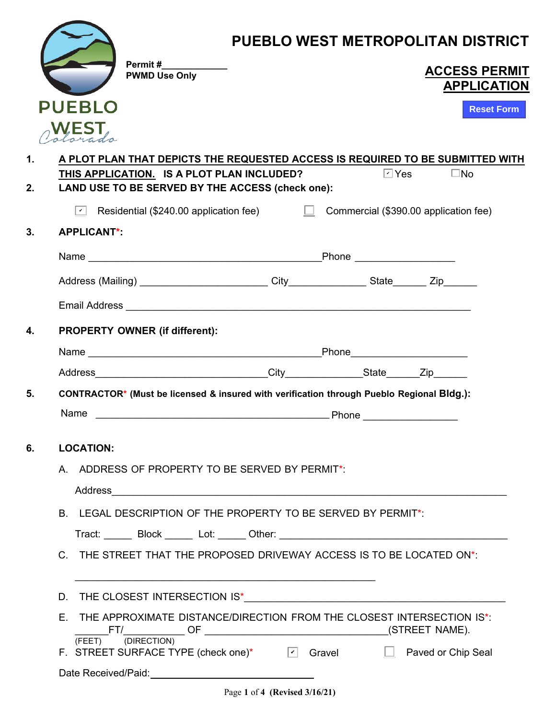|                                                               |    |                                                                                           |                                       | <b>PUEBLO WEST METROPOLITAN DISTRICT</b>                                                                                                                                                              |  |  |  |  |                                            |
|---------------------------------------------------------------|----|-------------------------------------------------------------------------------------------|---------------------------------------|-------------------------------------------------------------------------------------------------------------------------------------------------------------------------------------------------------|--|--|--|--|--------------------------------------------|
|                                                               |    |                                                                                           | <b>PWMD Use Only</b>                  |                                                                                                                                                                                                       |  |  |  |  | <b>ACCESS PERMIT</b><br><b>APPLICATION</b> |
|                                                               |    | <b>UEBLO</b>                                                                              |                                       |                                                                                                                                                                                                       |  |  |  |  | <b>Reset Form</b>                          |
|                                                               |    | NEST                                                                                      |                                       |                                                                                                                                                                                                       |  |  |  |  |                                            |
| 1.<br>2.                                                      |    |                                                                                           |                                       | A PLOT PLAN THAT DEPICTS THE REQUESTED ACCESS IS REQUIRED TO BE SUBMITTED WITH<br>THIS APPLICATION. IS A PLOT PLAN INCLUDED? $\Box$ Yes $\Box$ No<br>LAND USE TO BE SERVED BY THE ACCESS (check one): |  |  |  |  |                                            |
|                                                               |    | $\vert \mathbf{v} \vert$                                                                  |                                       | Residential (\$240.00 application fee) $\Box$ Commercial (\$390.00 application fee)                                                                                                                   |  |  |  |  |                                            |
| 3.                                                            |    | <b>APPLICANT*</b>                                                                         |                                       |                                                                                                                                                                                                       |  |  |  |  |                                            |
|                                                               |    |                                                                                           |                                       |                                                                                                                                                                                                       |  |  |  |  |                                            |
|                                                               |    |                                                                                           |                                       |                                                                                                                                                                                                       |  |  |  |  |                                            |
|                                                               |    |                                                                                           |                                       |                                                                                                                                                                                                       |  |  |  |  |                                            |
| 4.                                                            |    |                                                                                           | <b>PROPERTY OWNER (if different):</b> |                                                                                                                                                                                                       |  |  |  |  |                                            |
|                                                               |    |                                                                                           |                                       |                                                                                                                                                                                                       |  |  |  |  |                                            |
|                                                               |    |                                                                                           |                                       |                                                                                                                                                                                                       |  |  |  |  |                                            |
| 5.                                                            |    | CONTRACTOR* (Must be licensed & insured with verification through Pueblo Regional Bldg.): |                                       |                                                                                                                                                                                                       |  |  |  |  |                                            |
|                                                               |    |                                                                                           |                                       |                                                                                                                                                                                                       |  |  |  |  |                                            |
| 6.                                                            |    | <b>LOCATION:</b>                                                                          |                                       |                                                                                                                                                                                                       |  |  |  |  |                                            |
|                                                               | A. | ADDRESS OF PROPERTY TO BE SERVED BY PERMIT*:                                              |                                       |                                                                                                                                                                                                       |  |  |  |  |                                            |
|                                                               |    |                                                                                           |                                       |                                                                                                                                                                                                       |  |  |  |  |                                            |
| B. LEGAL DESCRIPTION OF THE PROPERTY TO BE SERVED BY PERMIT*: |    |                                                                                           |                                       |                                                                                                                                                                                                       |  |  |  |  |                                            |
|                                                               |    |                                                                                           |                                       |                                                                                                                                                                                                       |  |  |  |  |                                            |
|                                                               |    |                                                                                           |                                       | C. THE STREET THAT THE PROPOSED DRIVEWAY ACCESS IS TO BE LOCATED ON*:                                                                                                                                 |  |  |  |  |                                            |
|                                                               |    |                                                                                           |                                       |                                                                                                                                                                                                       |  |  |  |  |                                            |
|                                                               |    |                                                                                           |                                       |                                                                                                                                                                                                       |  |  |  |  |                                            |
|                                                               | Е. |                                                                                           |                                       | THE APPROXIMATE DISTANCE/DIRECTION FROM THE CLOSEST INTERSECTION IS*:<br>FT/ OF CONSIDERING CONSIDER THE CONSIDERATION (STREET NAME).                                                                 |  |  |  |  |                                            |
|                                                               |    |                                                                                           |                                       | F. STREET SURFACE TYPE (check one)* $\Box$ Gravel $\Box$ Paved or Chip Seal                                                                                                                           |  |  |  |  |                                            |
|                                                               |    |                                                                                           |                                       |                                                                                                                                                                                                       |  |  |  |  |                                            |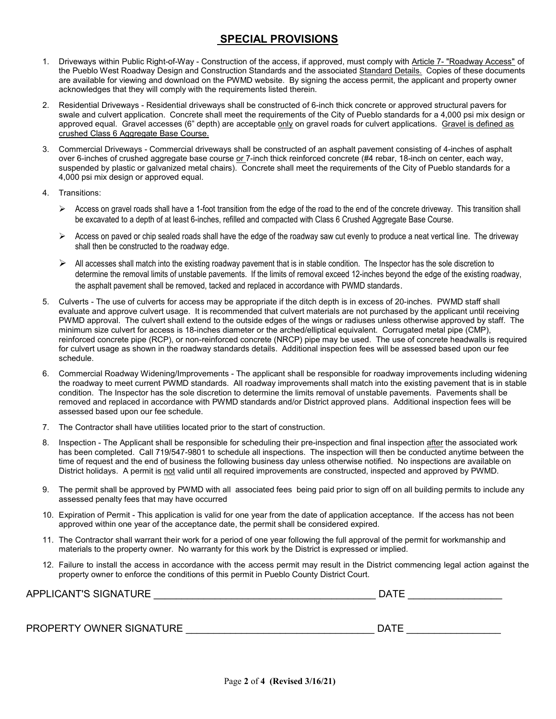# SPECIAL PROVISIONS

- 1. Driveways within Public Right-of-Way Construction of the access, if approved, must comply with Article 7- "Roadway Access" of the Pueblo West Roadway Design and Construction Standards and the associated Standard Details. Copies of these documents are available for viewing and download on the PWMD website. By signing the access permit, the applicant and property owner acknowledges that they will comply with the requirements listed therein.
- 2. Residential Driveways Residential driveways shall be constructed of 6-inch thick concrete or approved structural pavers for swale and culvert application. Concrete shall meet the requirements of the City of Pueblo standards for a 4,000 psi mix design or approved equal. Gravel accesses (6" depth) are acceptable only on gravel roads for culvert applications. Gravel is defined as crushed Class 6 Aggregate Base Course.
- 3. Commercial Driveways Commercial driveways shall be constructed of an asphalt pavement consisting of 4-inches of asphalt over 6-inches of crushed aggregate base course or 7-inch thick reinforced concrete (#4 rebar, 18-inch on center, each way, suspended by plastic or galvanized metal chairs). Concrete shall meet the requirements of the City of Pueblo standards for a 4,000 psi mix design or approved equal.
- 4. Transitions:
	- $\triangleright$  Access on gravel roads shall have a 1-foot transition from the edge of the road to the end of the concrete driveway. This transition shall be excavated to a depth of at least 6-inches, refilled and compacted with Class 6 Crushed Aggregate Base Course.
	- $\triangleright$  Access on paved or chip sealed roads shall have the edge of the roadway saw cut evenly to produce a neat vertical line. The driveway shall then be constructed to the roadway edge.
	- $\triangleright$  All accesses shall match into the existing roadway pavement that is in stable condition. The Inspector has the sole discretion to determine the removal limits of unstable pavements. If the limits of removal exceed 12-inches beyond the edge of the existing roadway, the asphalt pavement shall be removed, tacked and replaced in accordance with PWMD standards.
- 5. Culverts The use of culverts for access may be appropriate if the ditch depth is in excess of 20-inches. PWMD staff shall evaluate and approve culvert usage. It is recommended that culvert materials are not purchased by the applicant until receiving PWMD approval. The culvert shall extend to the outside edges of the wings or radiuses unless otherwise approved by staff. The minimum size culvert for access is 18-inches diameter or the arched/elliptical equivalent. Corrugated metal pipe (CMP), reinforced concrete pipe (RCP), or non-reinforced concrete (NRCP) pipe may be used. The use of concrete headwalls is required for culvert usage as shown in the roadway standards details. Additional inspection fees will be assessed based upon our fee schedule.
- 6. Commercial Roadway Widening/Improvements The applicant shall be responsible for roadway improvements including widening the roadway to meet current PWMD standards. All roadway improvements shall match into the existing pavement that is in stable condition. The Inspector has the sole discretion to determine the limits removal of unstable pavements. Pavements shall be removed and replaced in accordance with PWMD standards and/or District approved plans. Additional inspection fees will be assessed based upon our fee schedule.
- 7. The Contractor shall have utilities located prior to the start of construction.
- 8. Inspection The Applicant shall be responsible for scheduling their pre-inspection and final inspection after the associated work has been completed. Call 719/547-9801 to schedule all inspections. The inspection will then be conducted anytime between the time of request and the end of business the following business day unless otherwise notified. No inspections are available on District holidays. A permit is not valid until all required improvements are constructed, inspected and approved by PWMD.
- 9. The permit shall be approved by PWMD with all associated fees being paid prior to sign off on all building permits to include any assessed penalty fees that may have occurred
- 10. Expiration of Permit This application is valid for one year from the date of application acceptance. If the access has not been approved within one year of the acceptance date, the permit shall be considered expired.
- 11. The Contractor shall warrant their work for a period of one year following the full approval of the permit for workmanship and materials to the property owner. No warranty for this work by the District is expressed or implied.
- 12. Failure to install the access in accordance with the access permit may result in the District commencing legal action against the property owner to enforce the conditions of this permit in Pueblo County District Court.

| <b>APPLICANT'S SIGNATURE</b> | <b>DATE</b> |  |  |  |
|------------------------------|-------------|--|--|--|
|                              |             |  |  |  |
| PROPERTY OWNER SIGNATURE     | <b>DATE</b> |  |  |  |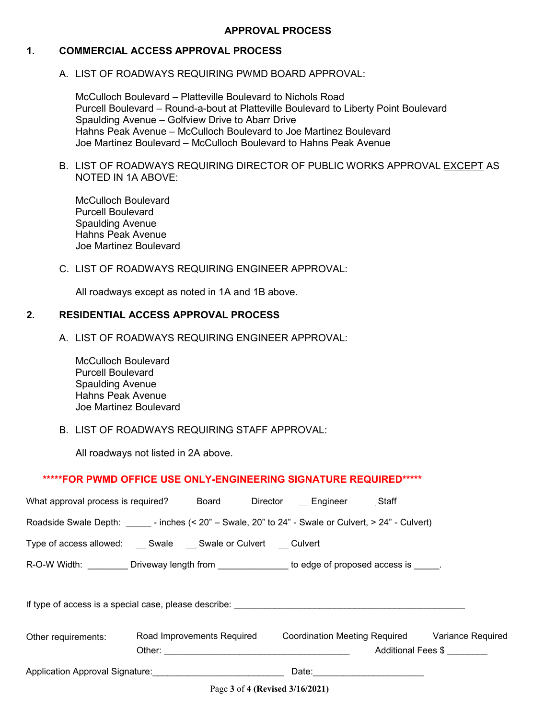# 1. COMMERCIAL ACCESS APPROVAL PROCESS

A. LIST OF ROADWAYS REQUIRING PWMD BOARD APPROVAL:

McCulloch Boulevard – Platteville Boulevard to Nichols Road Purcell Boulevard – Round-a-bout at Platteville Boulevard to Liberty Point Boulevard Spaulding Avenue – Golfview Drive to Abarr Drive Hahns Peak Avenue – McCulloch Boulevard to Joe Martinez Boulevard Joe Martinez Boulevard – McCulloch Boulevard to Hahns Peak Avenue

B. LIST OF ROADWAYS REQUIRING DIRECTOR OF PUBLIC WORKS APPROVAL EXCEPT AS NOTED IN 1A ABOVE:

McCulloch Boulevard Purcell Boulevard Spaulding Avenue Hahns Peak Avenue Joe Martinez Boulevard

C. LIST OF ROADWAYS REQUIRING ENGINEER APPROVAL:

All roadways except as noted in 1A and 1B above.

#### 2. RESIDENTIAL ACCESS APPROVAL PROCESS

A. LIST OF ROADWAYS REQUIRING ENGINEER APPROVAL:

McCulloch Boulevard Purcell Boulevard Spaulding Avenue Hahns Peak Avenue Joe Martinez Boulevard

## B. LIST OF ROADWAYS REQUIRING STAFF APPROVAL:

All roadways not listed in 2A above.

#### \*\*\*\*\*FOR PWMD OFFICE USE ONLY**-ENGINEERING SIGNATURE REQUIRED**\*\*\*\*\*

|                     | What approval process is required? Board Director Engineer Staff                                       |                                                                                                                |  |
|---------------------|--------------------------------------------------------------------------------------------------------|----------------------------------------------------------------------------------------------------------------|--|
|                     | Roadside Swale Depth: _______ - inches (< 20" - Swale, 20" to 24" - Swale or Culvert, > 24" - Culvert) |                                                                                                                |  |
|                     | Type of access allowed: ___ Swale ___ Swale or Culvert ___ Culvert                                     |                                                                                                                |  |
|                     | R-O-W Width: _________ Driveway length from ______________ to edge of proposed access is _____.        |                                                                                                                |  |
|                     |                                                                                                        |                                                                                                                |  |
|                     |                                                                                                        |                                                                                                                |  |
| Other requirements: | Road Improvements Required Coordination Meeting Required Variance Required                             |                                                                                                                |  |
|                     |                                                                                                        |                                                                                                                |  |
|                     |                                                                                                        | Date: 2004 - 2005 - 2016 - 2017 - 2018 - 2019 - 2019 - 2019 - 2019 - 2019 - 2019 - 2019 - 2019 - 2019 - 2019 - |  |
|                     |                                                                                                        |                                                                                                                |  |

Page **3** of **4 (Revised 3/16/2021)**